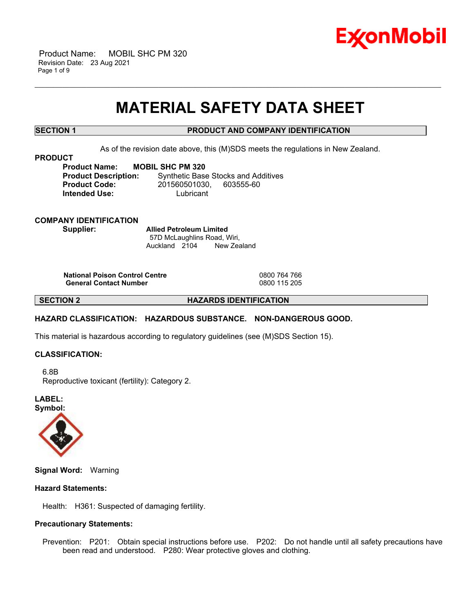

 Product Name: MOBIL SHC PM 320 Revision Date: 23 Aug 2021 Page 1 of 9

# **MATERIAL SAFETY DATA SHEET**

\_\_\_\_\_\_\_\_\_\_\_\_\_\_\_\_\_\_\_\_\_\_\_\_\_\_\_\_\_\_\_\_\_\_\_\_\_\_\_\_\_\_\_\_\_\_\_\_\_\_\_\_\_\_\_\_\_\_\_\_\_\_\_\_\_\_\_\_\_\_\_\_\_\_\_\_\_\_\_\_\_\_\_\_\_\_\_\_\_\_\_\_\_\_\_\_\_\_\_\_\_\_\_\_\_\_\_\_\_\_\_\_\_\_\_\_\_\_

# **SECTION 1 PRODUCT AND COMPANY IDENTIFICATION**

As of the revision date above, this (M)SDS meets the regulations in New Zealand.

#### **PRODUCT**

**Product Name: MOBIL SHC PM 320 Intended Use:** Lubricant

**Product Description:** Synthetic Base Stocks and Additives **Product Code:** 201560501030, 603555-60

**COMPANY IDENTIFICATION Supplier: Allied Petroleum Limited**

57D McLaughlins Road, Wiri, Auckland 2104 New Zealand

**National Poison Control Centre** 0800 764 766 **General Contact Number** 

**SECTION 2 HAZARDS IDENTIFICATION**

# **HAZARD CLASSIFICATION: HAZARDOUS SUBSTANCE. NON-DANGEROUS GOOD.**

This material is hazardous according to regulatory guidelines (see (M)SDS Section 15).

# **CLASSIFICATION:**

 6.8B Reproductive toxicant (fertility): Category 2.

**LABEL: Symbol:**



**Signal Word:** Warning

# **Hazard Statements:**

Health: H361: Suspected of damaging fertility.

# **Precautionary Statements:**

 Prevention: P201: Obtain special instructions before use. P202: Do not handle until all safety precautions have been read and understood. P280: Wear protective gloves and clothing.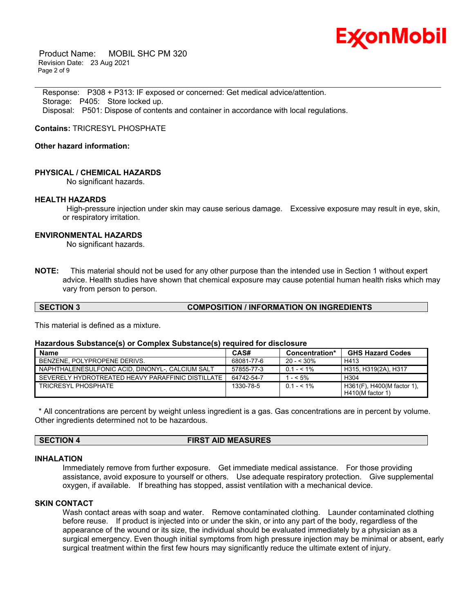

 Product Name: MOBIL SHC PM 320 Revision Date: 23 Aug 2021 Page 2 of 9

 Response: P308 + P313: IF exposed or concerned: Get medical advice/attention. Storage: P405: Store locked up. Disposal: P501: Dispose of contents and container in accordance with local regulations.

**Contains:** TRICRESYL PHOSPHATE

# **Other hazard information:**

### **PHYSICAL / CHEMICAL HAZARDS**

No significant hazards.

#### **HEALTH HAZARDS**

High-pressure injection under skin may cause serious damage. Excessive exposure may result in eye, skin, or respiratory irritation.

#### **ENVIRONMENTAL HAZARDS**

No significant hazards.

**NOTE:** This material should not be used for any other purpose than the intended use in Section 1 without expert advice. Health studies have shown that chemical exposure may cause potential human health risks which may vary from person to person.

\_\_\_\_\_\_\_\_\_\_\_\_\_\_\_\_\_\_\_\_\_\_\_\_\_\_\_\_\_\_\_\_\_\_\_\_\_\_\_\_\_\_\_\_\_\_\_\_\_\_\_\_\_\_\_\_\_\_\_\_\_\_\_\_\_\_\_\_\_\_\_\_\_\_\_\_\_\_\_\_\_\_\_\_\_\_\_\_\_\_\_\_\_\_\_\_\_\_\_\_\_\_\_\_\_\_\_\_\_\_\_\_\_\_\_\_\_\_

This material is defined as a mixture.

#### **Hazardous Substance(s) or Complex Substance(s) required for disclosure**

| <b>Name</b>                                       | CAS#       | Concentration* | <b>GHS Hazard Codes</b>    |
|---------------------------------------------------|------------|----------------|----------------------------|
| BENZENE, POLYPROPENE DERIVS.                      | 68081-77-6 | $20 - 530\%$   | H413                       |
| NAPHTHALENESULFONIC ACID. DINONYL-, CALCIUM SALT  | 57855-77-3 | $0.1 - 5.1\%$  | H315, H319(2A), H317       |
| SEVERELY HYDROTREATED HEAVY PARAFFINIC DISTILLATE | 64742-54-7 | $- < 5\%$      | H <sub>304</sub>           |
| TRICRESYL PHOSPHATE                               | 1330-78-5  | $0.1 - 5.1\%$  | H361(F), H400(M factor 1), |
|                                                   |            |                | $H410(M$ factor 1)         |

\* All concentrations are percent by weight unless ingredient is a gas. Gas concentrations are in percent by volume. Other ingredients determined not to be hazardous.

**SECTION 4 FIRST AID MEASURES**

#### **INHALATION**

Immediately remove from further exposure. Get immediate medical assistance. For those providing assistance, avoid exposure to yourself or others. Use adequate respiratory protection. Give supplemental oxygen, if available. If breathing has stopped, assist ventilation with a mechanical device.

# **SKIN CONTACT**

Wash contact areas with soap and water. Remove contaminated clothing. Launder contaminated clothing before reuse. If product is injected into or under the skin, or into any part of the body, regardless of the appearance of the wound or its size, the individual should be evaluated immediately by a physician as a surgical emergency. Even though initial symptoms from high pressure injection may be minimal or absent, early surgical treatment within the first few hours may significantly reduce the ultimate extent of injury.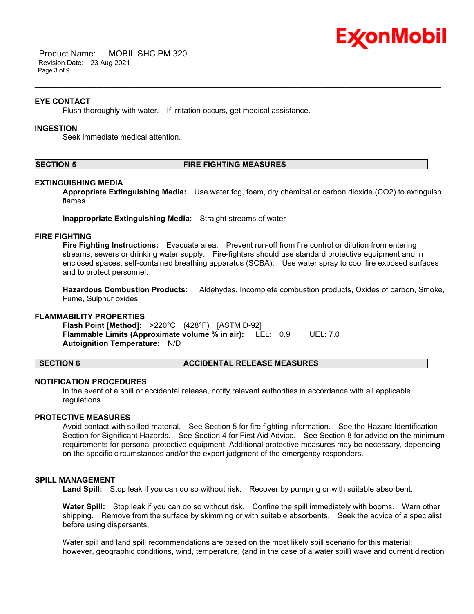

 Product Name: MOBIL SHC PM 320 Revision Date: 23 Aug 2021 Page 3 of 9

### **EYE CONTACT**

Flush thoroughly with water. If irritation occurs, get medical assistance.

# **INGESTION**

Seek immediate medical attention.

#### **SECTION 5 FIRE FIGHTING MEASURES**

\_\_\_\_\_\_\_\_\_\_\_\_\_\_\_\_\_\_\_\_\_\_\_\_\_\_\_\_\_\_\_\_\_\_\_\_\_\_\_\_\_\_\_\_\_\_\_\_\_\_\_\_\_\_\_\_\_\_\_\_\_\_\_\_\_\_\_\_\_\_\_\_\_\_\_\_\_\_\_\_\_\_\_\_\_\_\_\_\_\_\_\_\_\_\_\_\_\_\_\_\_\_\_\_\_\_\_\_\_\_\_\_\_\_\_\_\_\_

#### **EXTINGUISHING MEDIA**

**Appropriate Extinguishing Media:** Use water fog, foam, dry chemical or carbon dioxide (CO2) to extinguish flames.

**Inappropriate Extinguishing Media:** Straight streams of water

# **FIRE FIGHTING**

**Fire Fighting Instructions:** Evacuate area. Prevent run-off from fire control or dilution from entering streams, sewers or drinking water supply. Fire-fighters should use standard protective equipment and in enclosed spaces, self-contained breathing apparatus (SCBA). Use water spray to cool fire exposed surfaces and to protect personnel.

**Hazardous Combustion Products:** Aldehydes, Incomplete combustion products, Oxides of carbon, Smoke, Fume, Sulphur oxides

# **FLAMMABILITY PROPERTIES**

**Flash Point [Method]:** >220°C (428°F) [ASTM D-92] **Flammable Limits (Approximate volume % in air):** LEL: 0.9 UEL: 7.0 **Autoignition Temperature:** N/D

#### **SECTION 6 ACCIDENTAL RELEASE MEASURES**

#### **NOTIFICATION PROCEDURES**

In the event of a spill or accidental release, notify relevant authorities in accordance with all applicable regulations.

# **PROTECTIVE MEASURES**

Avoid contact with spilled material. See Section 5 for fire fighting information. See the Hazard Identification Section for Significant Hazards. See Section 4 for First Aid Advice. See Section 8 for advice on the minimum requirements for personal protective equipment. Additional protective measures may be necessary, depending on the specific circumstances and/or the expert judgment of the emergency responders.

#### **SPILL MANAGEMENT**

**Land Spill:** Stop leak if you can do so without risk. Recover by pumping or with suitable absorbent.

**Water Spill:** Stop leak if you can do so without risk. Confine the spill immediately with booms. Warn other shipping. Remove from the surface by skimming or with suitable absorbents. Seek the advice of a specialist before using dispersants.

Water spill and land spill recommendations are based on the most likely spill scenario for this material; however, geographic conditions, wind, temperature, (and in the case of a water spill) wave and current direction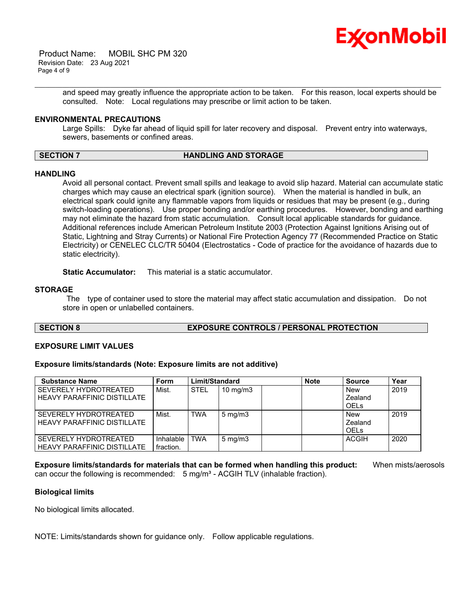

 Product Name: MOBIL SHC PM 320 Revision Date: 23 Aug 2021 Page 4 of 9

> and speed may greatly influence the appropriate action to be taken. For this reason, local experts should be consulted. Note: Local regulations may prescribe or limit action to be taken.

\_\_\_\_\_\_\_\_\_\_\_\_\_\_\_\_\_\_\_\_\_\_\_\_\_\_\_\_\_\_\_\_\_\_\_\_\_\_\_\_\_\_\_\_\_\_\_\_\_\_\_\_\_\_\_\_\_\_\_\_\_\_\_\_\_\_\_\_\_\_\_\_\_\_\_\_\_\_\_\_\_\_\_\_\_\_\_\_\_\_\_\_\_\_\_\_\_\_\_\_\_\_\_\_\_\_\_\_\_\_\_\_\_\_\_\_\_\_

# **ENVIRONMENTAL PRECAUTIONS**

Large Spills: Dyke far ahead of liquid spill for later recovery and disposal. Prevent entry into waterways, sewers, basements or confined areas.

#### **SECTION 7 HANDLING AND STORAGE**

# **HANDLING**

Avoid all personal contact. Prevent small spills and leakage to avoid slip hazard. Material can accumulate static charges which may cause an electrical spark (ignition source). When the material is handled in bulk, an electrical spark could ignite any flammable vapors from liquids or residues that may be present (e.g., during switch-loading operations). Use proper bonding and/or earthing procedures. However, bonding and earthing may not eliminate the hazard from static accumulation. Consult local applicable standards for guidance. Additional references include American Petroleum Institute 2003 (Protection Against Ignitions Arising out of Static, Lightning and Stray Currents) or National Fire Protection Agency 77 (Recommended Practice on Static Electricity) or CENELEC CLC/TR 50404 (Electrostatics - Code of practice for the avoidance of hazards due to static electricity).

**Static Accumulator:** This material is a static accumulator.

### **STORAGE**

The type of container used to store the material may affect static accumulation and dissipation. Do not store in open or unlabelled containers.

# **SECTION 8 EXPOSURE CONTROLS / PERSONAL PROTECTION**

#### **EXPOSURE LIMIT VALUES**

#### **Exposure limits/standards (Note: Exposure limits are not additive)**

| <b>Substance Name</b>              | Form      | Limit/Standard |                   | <b>Note</b> | <b>Source</b> | Year         |      |
|------------------------------------|-----------|----------------|-------------------|-------------|---------------|--------------|------|
| SEVERELY HYDROTREATED              | Mist.     | <b>STEL</b>    | $10 \text{ mg/m}$ |             |               | <b>New</b>   | 2019 |
| <b>HEAVY PARAFFINIC DISTILLATE</b> |           |                |                   |             |               | Zealand      |      |
|                                    |           |                |                   |             |               | <b>OELs</b>  |      |
| SEVERELY HYDROTREATED              | Mist.     | TWA            | $5 \text{ mg/m}$  |             |               | <b>New</b>   | 2019 |
| <b>HEAVY PARAFFINIC DISTILLATE</b> |           |                |                   |             |               | Zealand      |      |
|                                    |           |                |                   |             |               | <b>OELs</b>  |      |
| SEVERELY HYDROTREATED              | Inhalable | TWA            | $5 \text{ mg/m}$  |             |               | <b>ACGIH</b> | 2020 |
| <b>HEAVY PARAFFINIC DISTILLATE</b> | fraction. |                |                   |             |               |              |      |

**Exposure limits/standards for materials that can be formed when handling this product:** When mists/aerosols can occur the following is recommended:  $5 \text{ mg/m}^3$  - ACGIH TLV (inhalable fraction).

#### **Biological limits**

No biological limits allocated.

NOTE: Limits/standards shown for guidance only. Follow applicable regulations.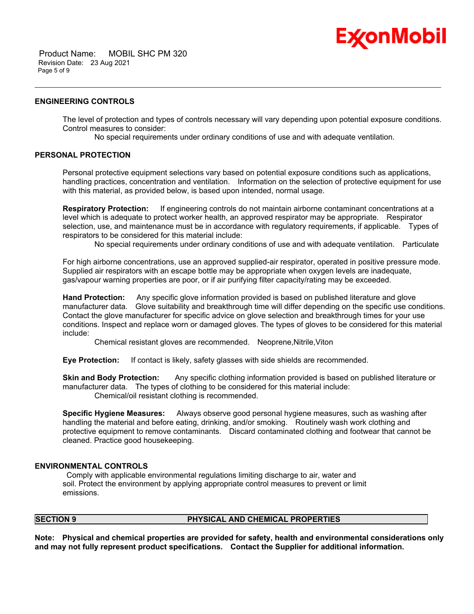

#### **ENGINEERING CONTROLS**

The level of protection and types of controls necessary will vary depending upon potential exposure conditions. Control measures to consider:

Ex⁄onMobil

No special requirements under ordinary conditions of use and with adequate ventilation.

\_\_\_\_\_\_\_\_\_\_\_\_\_\_\_\_\_\_\_\_\_\_\_\_\_\_\_\_\_\_\_\_\_\_\_\_\_\_\_\_\_\_\_\_\_\_\_\_\_\_\_\_\_\_\_\_\_\_\_\_\_\_\_\_\_\_\_\_\_\_\_\_\_\_\_\_\_\_\_\_\_\_\_\_\_\_\_\_\_\_\_\_\_\_\_\_\_\_\_\_\_\_\_\_\_\_\_\_\_\_\_\_\_\_\_\_\_\_

# **PERSONAL PROTECTION**

Personal protective equipment selections vary based on potential exposure conditions such as applications, handling practices, concentration and ventilation. Information on the selection of protective equipment for use with this material, as provided below, is based upon intended, normal usage.

**Respiratory Protection:** If engineering controls do not maintain airborne contaminant concentrations at a level which is adequate to protect worker health, an approved respirator may be appropriate. Respirator selection, use, and maintenance must be in accordance with regulatory requirements, if applicable. Types of respirators to be considered for this material include:

No special requirements under ordinary conditions of use and with adequate ventilation. Particulate

For high airborne concentrations, use an approved supplied-air respirator, operated in positive pressure mode. Supplied air respirators with an escape bottle may be appropriate when oxygen levels are inadequate, gas/vapour warning properties are poor, or if air purifying filter capacity/rating may be exceeded.

**Hand Protection:** Any specific glove information provided is based on published literature and glove manufacturer data. Glove suitability and breakthrough time will differ depending on the specific use conditions. Contact the glove manufacturer for specific advice on glove selection and breakthrough times for your use conditions. Inspect and replace worn or damaged gloves. The types of gloves to be considered for this material include:

Chemical resistant gloves are recommended. Neoprene,Nitrile,Viton

**Eye Protection:** If contact is likely, safety glasses with side shields are recommended.

**Skin and Body Protection:** Any specific clothing information provided is based on published literature or manufacturer data. The types of clothing to be considered for this material include: Chemical/oil resistant clothing is recommended.

**Specific Hygiene Measures:** Always observe good personal hygiene measures, such as washing after handling the material and before eating, drinking, and/or smoking. Routinely wash work clothing and protective equipment to remove contaminants. Discard contaminated clothing and footwear that cannot be cleaned. Practice good housekeeping.

# **ENVIRONMENTAL CONTROLS**

Comply with applicable environmental regulations limiting discharge to air, water and soil. Protect the environment by applying appropriate control measures to prevent or limit emissions.

#### **SECTION 9 PHYSICAL AND CHEMICAL PROPERTIES**

**Note: Physical and chemical properties are provided for safety, health and environmental considerations only and may not fully represent product specifications. Contact the Supplier for additional information.**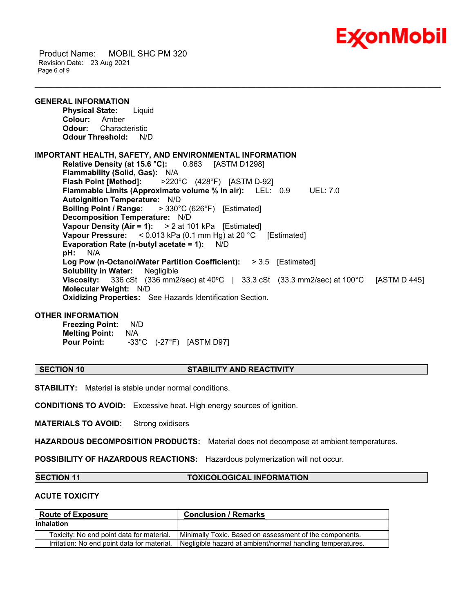

 Product Name: MOBIL SHC PM 320 Revision Date: 23 Aug 2021 Page 6 of 9

**GENERAL INFORMATION Physical State:** Liquid **Colour:** Amber **Odour:** Characteristic **Odour Threshold:** N/D **IMPORTANT HEALTH, SAFETY, AND ENVIRONMENTAL INFORMATION Relative Density (at 15.6 °C):** 0.863 [ASTM D1298] **Flammability (Solid, Gas):** N/A **Flash Point [Method]:** >220°C (428°F) [ASTM D-92] **Flammable Limits (Approximate volume % in air):** LEL: 0.9 UEL: 7.0 **Autoignition Temperature:** N/D **Boiling Point / Range:** > 330°C (626°F) [Estimated] **Decomposition Temperature:** N/D **Vapour Density (Air = 1):** > 2 at 101 kPa [Estimated] **Vapour Pressure:** < 0.013 kPa (0.1 mm Hg) at 20 °C [Estimated] **Evaporation Rate (n-butyl acetate = 1):** N/D **pH:** N/A **Log Pow (n-Octanol/Water Partition Coefficient):** > 3.5 [Estimated] **Solubility in Water:** Negligible **Viscosity:** 336 cSt (336 mm2/sec) at 40ºC | 33.3 cSt (33.3 mm2/sec) at 100°C [ASTM D 445] **Molecular Weight:** N/D **Oxidizing Properties:** See Hazards Identification Section.

\_\_\_\_\_\_\_\_\_\_\_\_\_\_\_\_\_\_\_\_\_\_\_\_\_\_\_\_\_\_\_\_\_\_\_\_\_\_\_\_\_\_\_\_\_\_\_\_\_\_\_\_\_\_\_\_\_\_\_\_\_\_\_\_\_\_\_\_\_\_\_\_\_\_\_\_\_\_\_\_\_\_\_\_\_\_\_\_\_\_\_\_\_\_\_\_\_\_\_\_\_\_\_\_\_\_\_\_\_\_\_\_\_\_\_\_\_\_

#### **OTHER INFORMATION**

**Freezing Point:** N/D **Melting Point:** N/A **Pour Point:** -33°C (-27°F) [ASTM D97]

#### **SECTION 10 STABILITY AND REACTIVITY**

**STABILITY:** Material is stable under normal conditions.

**CONDITIONS TO AVOID:** Excessive heat. High energy sources of ignition.

**MATERIALS TO AVOID:** Strong oxidisers

**HAZARDOUS DECOMPOSITION PRODUCTS:** Material does not decompose at ambient temperatures.

**POSSIBILITY OF HAZARDOUS REACTIONS:** Hazardous polymerization will not occur.

### **SECTION 11 TOXICOLOGICAL INFORMATION**

#### **ACUTE TOXICITY**

| <b>Route of Exposure</b>                    | <b>Conclusion / Remarks</b>                                |  |
|---------------------------------------------|------------------------------------------------------------|--|
| <b>Inhalation</b>                           |                                                            |  |
| Toxicity: No end point data for material.   | Minimally Toxic. Based on assessment of the components.    |  |
| Irritation: No end point data for material. | Negligible hazard at ambient/normal handling temperatures. |  |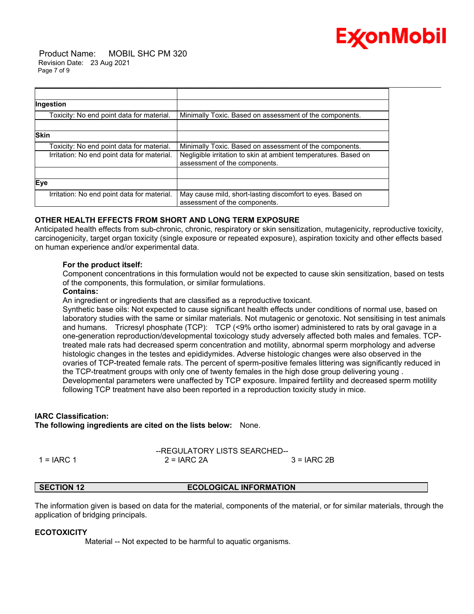

 Product Name: MOBIL SHC PM 320 Revision Date: 23 Aug 2021 Page 7 of 9

| Ingestion                                   |                                                                                                  |
|---------------------------------------------|--------------------------------------------------------------------------------------------------|
| Toxicity: No end point data for material.   | Minimally Toxic. Based on assessment of the components.                                          |
|                                             |                                                                                                  |
| <b>Skin</b>                                 |                                                                                                  |
| Toxicity: No end point data for material.   | Minimally Toxic. Based on assessment of the components.                                          |
| Irritation: No end point data for material. | Negligible irritation to skin at ambient temperatures. Based on<br>assessment of the components. |
|                                             |                                                                                                  |
| Eye                                         |                                                                                                  |
| Irritation: No end point data for material. | May cause mild, short-lasting discomfort to eyes. Based on<br>assessment of the components.      |

# **OTHER HEALTH EFFECTS FROM SHORT AND LONG TERM EXPOSURE**

Anticipated health effects from sub-chronic, chronic, respiratory or skin sensitization, mutagenicity, reproductive toxicity, carcinogenicity, target organ toxicity (single exposure or repeated exposure), aspiration toxicity and other effects based on human experience and/or experimental data.

\_\_\_\_\_\_\_\_\_\_\_\_\_\_\_\_\_\_\_\_\_\_\_\_\_\_\_\_\_\_\_\_\_\_\_\_\_\_\_\_\_\_\_\_\_\_\_\_\_\_\_\_\_\_\_\_\_\_\_\_\_\_\_\_\_\_\_\_\_\_\_\_\_\_\_\_\_\_\_\_\_\_\_\_\_\_\_\_\_\_\_\_\_\_\_\_\_\_\_\_\_\_\_\_\_\_\_\_\_\_\_\_\_\_\_\_\_\_

# **For the product itself:**

Component concentrations in this formulation would not be expected to cause skin sensitization, based on tests of the components, this formulation, or similar formulations.

### **Contains:**

An ingredient or ingredients that are classified as a reproductive toxicant.

Synthetic base oils: Not expected to cause significant health effects under conditions of normal use, based on laboratory studies with the same or similar materials. Not mutagenic or genotoxic. Not sensitising in test animals and humans. Tricresyl phosphate (TCP): TCP (<9% ortho isomer) administered to rats by oral gavage in a one-generation reproduction/developmental toxicology study adversely affected both males and females. TCPtreated male rats had decreased sperm concentration and motility, abnormal sperm morphology and adverse histologic changes in the testes and epididymides. Adverse histologic changes were also observed in the ovaries of TCP-treated female rats. The percent of sperm-positive females littering was significantly reduced in the TCP-treatment groups with only one of twenty females in the high dose group delivering young . Developmental parameters were unaffected by TCP exposure. Impaired fertility and decreased sperm motility following TCP treatment have also been reported in a reproduction toxicity study in mice.

# **IARC Classification:**

**The following ingredients are cited on the lists below:** None.

--REGULATORY LISTS SEARCHED--  $1 = IARC 1$   $2 = IARC 2A$   $3 = IARC 2B$ 

## **SECTION 12 ECOLOGICAL INFORMATION**

The information given is based on data for the material, components of the material, or for similar materials, through the application of bridging principals.

#### **ECOTOXICITY**

Material -- Not expected to be harmful to aquatic organisms.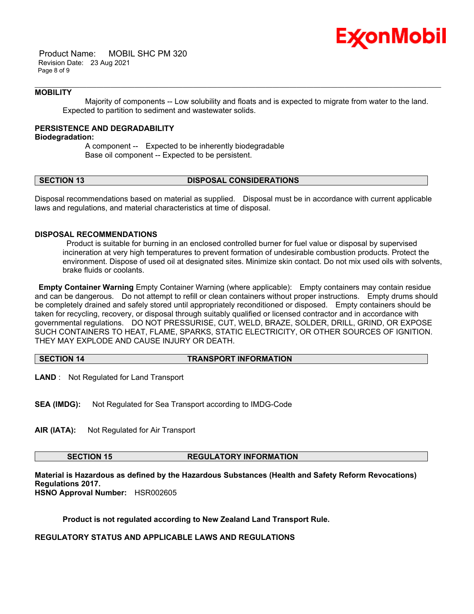

 Product Name: MOBIL SHC PM 320 Revision Date: 23 Aug 2021 Page 8 of 9

### **MOBILITY**

 Majority of components -- Low solubility and floats and is expected to migrate from water to the land. Expected to partition to sediment and wastewater solids.

\_\_\_\_\_\_\_\_\_\_\_\_\_\_\_\_\_\_\_\_\_\_\_\_\_\_\_\_\_\_\_\_\_\_\_\_\_\_\_\_\_\_\_\_\_\_\_\_\_\_\_\_\_\_\_\_\_\_\_\_\_\_\_\_\_\_\_\_\_\_\_\_\_\_\_\_\_\_\_\_\_\_\_\_\_\_\_\_\_\_\_\_\_\_\_\_\_\_\_\_\_\_\_\_\_\_\_\_\_\_\_\_\_\_\_\_\_\_

### **PERSISTENCE AND DEGRADABILITY**

**Biodegradation:**

 A component -- Expected to be inherently biodegradable Base oil component -- Expected to be persistent.

#### **SECTION 13 DISPOSAL CONSIDERATIONS**

Disposal recommendations based on material as supplied. Disposal must be in accordance with current applicable laws and regulations, and material characteristics at time of disposal.

# **DISPOSAL RECOMMENDATIONS**

Product is suitable for burning in an enclosed controlled burner for fuel value or disposal by supervised incineration at very high temperatures to prevent formation of undesirable combustion products. Protect the environment. Dispose of used oil at designated sites. Minimize skin contact. Do not mix used oils with solvents, brake fluids or coolants.

**Empty Container Warning** Empty Container Warning (where applicable): Empty containers may contain residue and can be dangerous. Do not attempt to refill or clean containers without proper instructions. Empty drums should be completely drained and safely stored until appropriately reconditioned or disposed. Empty containers should be taken for recycling, recovery, or disposal through suitably qualified or licensed contractor and in accordance with governmental regulations. DO NOT PRESSURISE, CUT, WELD, BRAZE, SOLDER, DRILL, GRIND, OR EXPOSE SUCH CONTAINERS TO HEAT, FLAME, SPARKS, STATIC ELECTRICITY, OR OTHER SOURCES OF IGNITION. THEY MAY EXPLODE AND CAUSE INJURY OR DEATH.

| <b>SECTION 14</b> |  |
|-------------------|--|
|-------------------|--|

**SECTION 14 TRANSPORT INFORMATION**

**LAND** : Not Regulated for Land Transport

**SEA (IMDG):** Not Regulated for Sea Transport according to IMDG-Code

**AIR (IATA):** Not Regulated for Air Transport

**SECTION 15 REGULATORY INFORMATION**

**Material is Hazardous as defined by the Hazardous Substances (Health and Safety Reform Revocations) Regulations 2017.**

**HSNO Approval Number:** HSR002605

**Product is not regulated according to New Zealand Land Transport Rule.**

**REGULATORY STATUS AND APPLICABLE LAWS AND REGULATIONS**